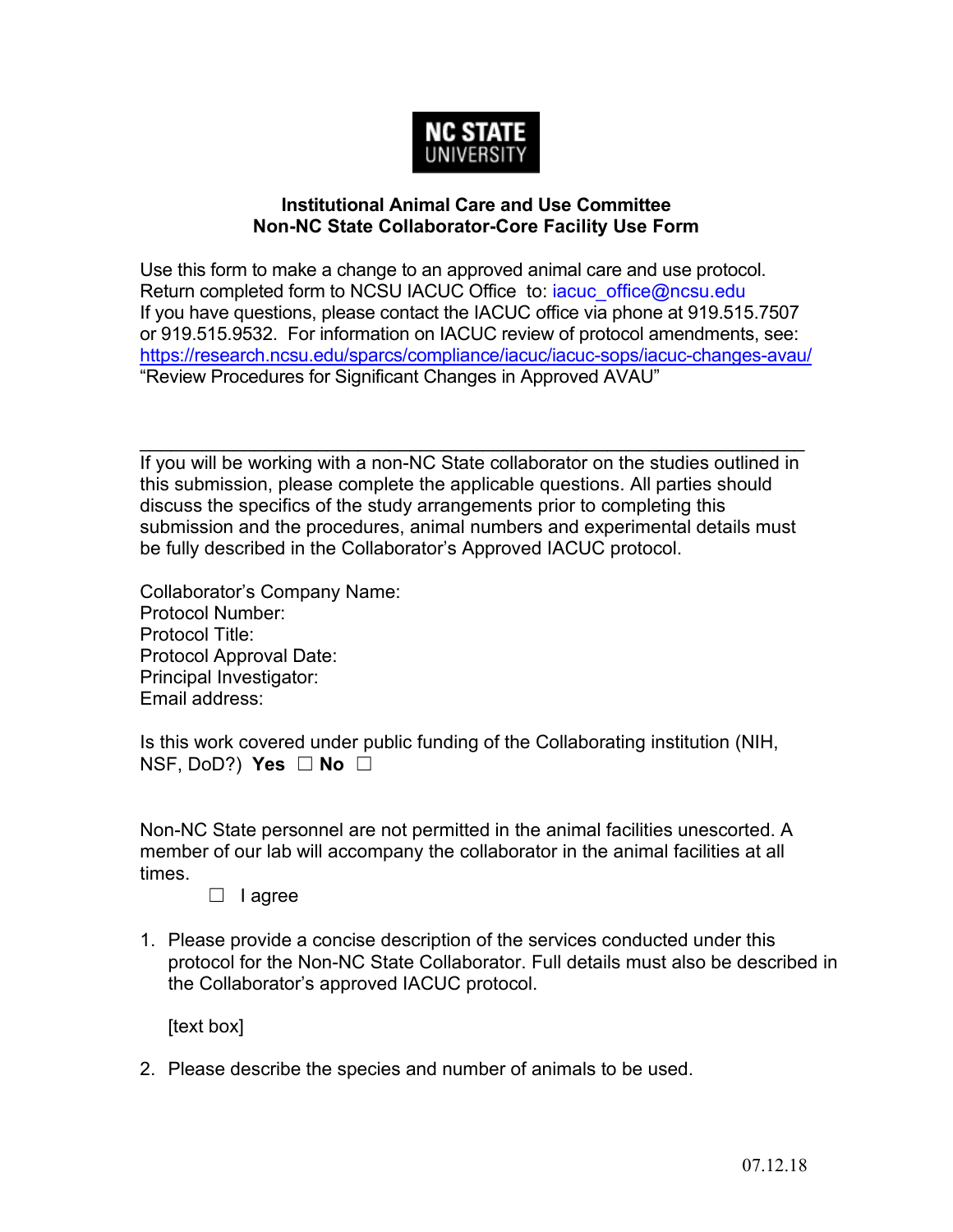

## **Institutional Animal Care and Use Committee Non-NC State Collaborator-Core Facility Use Form**

Use this form to make a change to an approved animal care and use protocol. Return completed form to NCSU IACUC Office to: [iacuc\\_office@ncsu.edu](mailto:%20to:%20iacuc_office@ncsu.edu) If you have questions, please contact the IACUC office via phone at 919.515.7507 or 919.515.9532. For information on IACUC review of protocol amendments, see: <https://research.ncsu.edu/sparcs/compliance/iacuc/iacuc-sops/iacuc-changes-avau/> "Review Procedures for Significant Changes in Approved AVAU"

\_\_\_\_\_\_\_\_\_\_\_\_\_\_\_\_\_\_\_\_\_\_\_\_\_\_\_\_\_\_\_\_\_\_\_\_\_\_\_\_\_\_\_\_\_\_\_\_\_\_\_\_\_\_\_\_\_\_\_\_\_\_\_\_ If you will be working with a non-NC State collaborator on the studies outlined in this submission, please complete the applicable questions. All parties should discuss the specifics of the study arrangements prior to completing this submission and the procedures, animal numbers and experimental details must be fully described in the Collaborator's Approved IACUC protocol.

Collaborator's Company Name: Protocol Number: Protocol Title: Protocol Approval Date: Principal Investigator: Email address:

Is this work covered under public funding of the Collaborating institution (NIH, NSF, DoD?) **Yes** ☐ **No** ☐

Non-NC State personnel are not permitted in the animal facilities unescorted. A member of our lab will accompany the collaborator in the animal facilities at all times.

## ☐ I agree

1. Please provide a concise description of the services conducted under this protocol for the Non-NC State Collaborator. Full details must also be described in the Collaborator's approved IACUC protocol.

[text box]

2. Please describe the species and number of animals to be used.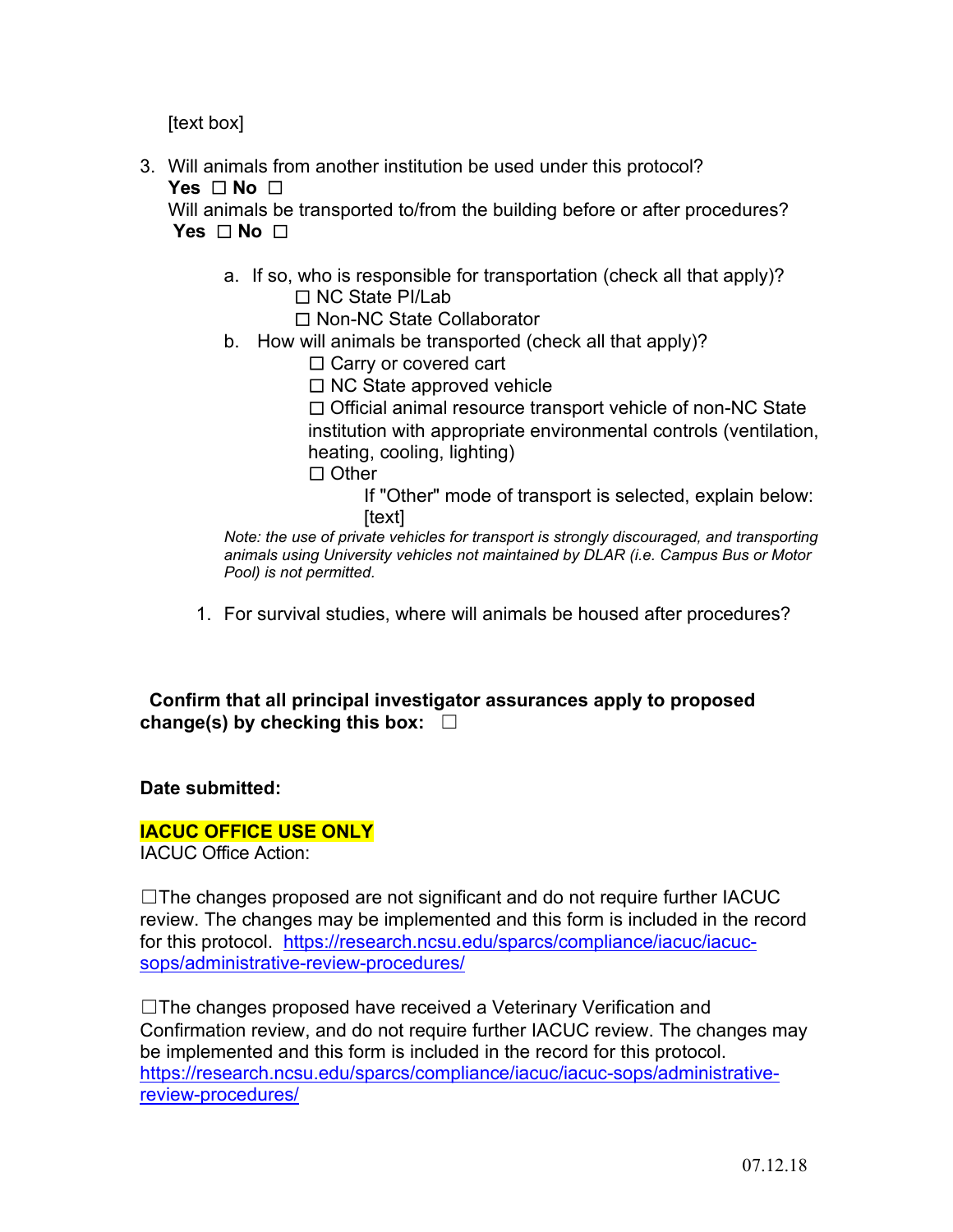[text box]

3. Will animals from another institution be used under this protocol? **Yes** ☐ **No** ☐

Will animals be transported to/from the building before or after procedures? **Yes** ☐ **No** ☐

a. If so, who is responsible for transportation (check all that apply)? ☐ NC State PI/Lab

☐ Non-NC State Collaborator

b. How will animals be transported (check all that apply)?

□ Carry or covered cart

☐ NC State approved vehicle

☐ Official animal resource transport vehicle of non-NC State

institution with appropriate environmental controls (ventilation, heating, cooling, lighting)

☐ Other

If "Other" mode of transport is selected, explain below: [text]

*Note: the use of private vehicles for transport is strongly discouraged, and transporting animals using University vehicles not maintained by DLAR (i.e. Campus Bus or Motor Pool) is not permitted.*

1. For survival studies, where will animals be housed after procedures?

 **Confirm that all principal investigator assurances apply to proposed change(s) by checking this box:** ☐

**Date submitted:** 

## **IACUC OFFICE USE ONLY**

IACUC Office Action:

☐The changes proposed are not significant and do not require further IACUC review. The changes may be implemented and this form is included in the record for this protocol. [https://research.ncsu.edu/sparcs/compliance/iacuc/iacuc](https://research.ncsu.edu/sparcs/compliance/iacuc/iacuc-sops/administrative-review-procedures/)[sops/administrative-review-procedures/](https://research.ncsu.edu/sparcs/compliance/iacuc/iacuc-sops/administrative-review-procedures/)

☐The changes proposed have received a Veterinary Verification and Confirmation review, and do not require further IACUC review. The changes may be implemented and this form is included in the record for this protocol. [https://research.ncsu.edu/sparcs/compliance/iacuc/iacuc-sops/administrative](https://research.ncsu.edu/sparcs/compliance/iacuc/iacuc-sops/administrative-review-procedures/)[review-procedures/](https://research.ncsu.edu/sparcs/compliance/iacuc/iacuc-sops/administrative-review-procedures/)